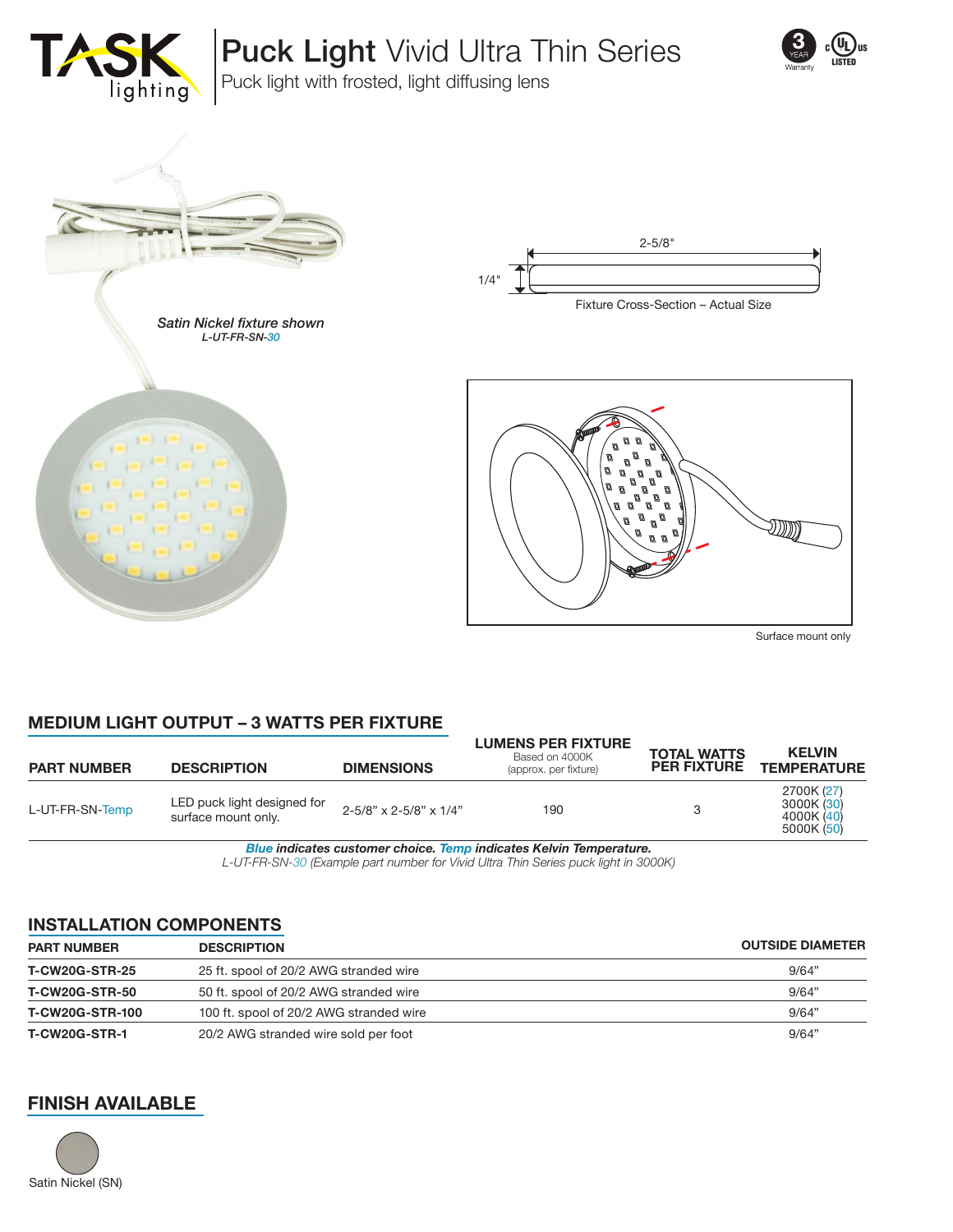

Puck Light Vivid Ultra Thin Series



Puck light with frosted, light diffusing lens





Ø Ø Ø Ø  $\overline{a}$  $\mathcal{Q}$  $\overline{a}$ Ø Ø Ø  $\mathcal{B}$ 

Surface mount only

## **MEDIUM LIGHT OUTPUT – 3 WATTS PER FIXTURE**

| <b>PART NUMBER</b> | <b>DESCRIPTION</b>                                 | <b>DIMENSIONS</b>      | <b>LUMENS PER FIXTURE</b><br>Based on 4000K<br>(approx. per fixture) | <b>TOTAL WATTS</b><br><b>PER FIXTURE</b> | <b>KELVIN</b><br><b>TEMPERATURE</b>                  |
|--------------------|----------------------------------------------------|------------------------|----------------------------------------------------------------------|------------------------------------------|------------------------------------------------------|
| L-UT-FR-SN-Temp    | LED puck light designed for<br>surface mount only. | 2-5/8" x 2-5/8" x 1/4" | 190                                                                  |                                          | 2700K (27)<br>3000K (30)<br>4000K (40)<br>5000K (50) |

*Blue indicates customer choice. Temp indicates Kelvin Temperature.*

*L-UT-FR-SN-30 (Example part number for Vivid Ultra Thin Series puck light in 3000K)*

#### **INSTALLATION COMPONENTS**

| <b>PART NUMBER</b>     | <b>DESCRIPTION</b>                      | <b>OUTSIDE DIAMETER</b> |
|------------------------|-----------------------------------------|-------------------------|
| <b>T-CW20G-STR-25</b>  | 25 ft. spool of 20/2 AWG stranded wire  | 9/64"                   |
| <b>T-CW20G-STR-50</b>  | 50 ft. spool of 20/2 AWG stranded wire  | 9/64"                   |
| <b>T-CW20G-STR-100</b> | 100 ft. spool of 20/2 AWG stranded wire | 9/64"                   |
| <b>T-CW20G-STR-1</b>   | 20/2 AWG stranded wire sold per foot    | 9/64"                   |

### **FINISH AVAILABLE**